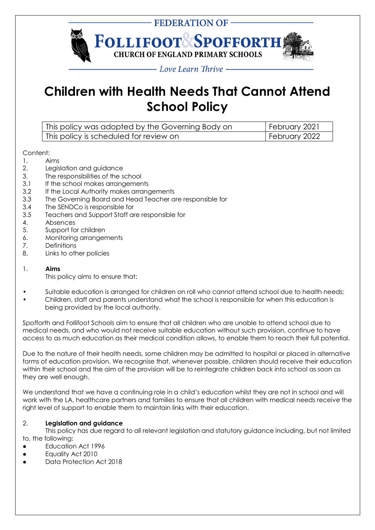

# **Children with Health Needs That Cannot Attend School Policy**

| This policy was adopted by the Governing Body on | February 2021 |
|--------------------------------------------------|---------------|
| This policy is scheduled for review on           | February 2022 |

# Content:

- 1. Aims
- 2. Legislation and guidance
- 3. The responsibilities of the school
- 3.1 If the school makes arrangements
- 3.2 If the Local Authority makes arrangements
- 3.3 The Governing Board and Head Teacher are responsible for
- 3.4 The SENDCo is responsible for
- 3.5 Teachers and Support Staff are responsible for
- 4. Absences
- 5. Support for children
- 6. Monitoring arrangements
- 7. Definitions
- 8. Links to other policies

## 1. **Aims**

This policy aims to ensure that:

- Suitable education is arranged for children on roll who cannot attend school due to health needs;
- Children, staff and parents understand what the school is responsible for when this education is being provided by the local authority.

Spofforth and Follifoot Schools aim to ensure that all children who are unable to attend school due to medical needs, and who would not receive suitable education without such provision, continue to have access to as much education as their medical condition allows, to enable them to reach their full potential.

Due to the nature of their health needs, some children may be admitted to hospital or placed in alternative forms of education provision. We recognise that, whenever possible, children should receive their education within their school and the aim of the provision will be to reintegrate children back into school as soon as they are well enough.

We understand that we have a continuing role in a child's education whilst they are not in school and will work with the LA, healthcare partners and families to ensure that all children with medical needs receive the right level of support to enable them to maintain links with their education.

# 2. **Legislation and guidance**

This policy has due regard to all relevant legislation and statutory guidance including, but not limited to, the following:

- Education Act 1996
- Equality Act 2010
- Data Protection Act 2018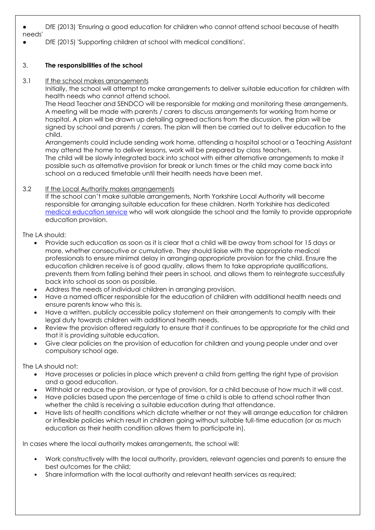● DfE (2013) 'Ensuring a good education for children who cannot attend school because of health

needs'

DfE (2015) 'Supporting children at school with medical conditions'.

## 3. **The responsibilities of the school**

3.1 If the school makes arrangements

Initially, the school will attempt to make arrangements to deliver suitable education for children with health needs who cannot attend school.

The Head Teacher and SENDCO will be responsible for making and monitoring these arrangements. A meeting will be made with parents / carers to discuss arrangements for working from home or hospital. A plan will be drawn up detailing agreed actions from the discussion, the plan will be signed by school and parents / carers. The plan will then be carried out to deliver education to the child.

Arrangements could include sending work home, attending a hospital school or a Teaching Assistant may attend the home to deliver lessons, work will be prepared by class teachers. The child will be slowly integrated back into school with either alternative arrangements to make it possible such as alternative provision for break or lunch times or the child may come back into

school on a reduced timetable until their health needs have been met.

## 3.2 If the Local Authority makes arrangements

If the school can't make suitable arrangements, North Yorkshire Local Authority will become responsible for arranging suitable education for these children. North Yorkshire has dedicated [medical education service](https://cyps.northyorks.gov.uk/medical-education-service) who will work alongside the school and the family to provide appropriate education provision.

The LA should:

- Provide such education as soon as it is clear that a child will be away from school for 15 days or more, whether consecutive or cumulative. They should liaise with the appropriate medical professionals to ensure minimal delay in arranging appropriate provision for the child. Ensure the education children receive is of good quality, allows them to take appropriate qualifications, prevents them from falling behind their peers in school, and allows them to reintegrate successfully back into school as soon as possible.
- Address the needs of individual children in arranging provision.
- Have a named officer responsible for the education of children with additional health needs and ensure parents know who this is.
- Have a written, publicly accessible policy statement on their arrangements to comply with their legal duty towards children with additional health needs.
- Review the provision offered regularly to ensure that it continues to be appropriate for the child and that it is providing suitable education.
- Give clear policies on the provision of education for children and young people under and over compulsory school age.

The LA should not:

- Have processes or policies in place which prevent a child from getting the right type of provision and a good education.
- Withhold or reduce the provision, or type of provision, for a child because of how much it will cost.
- Have policies based upon the percentage of time a child is able to attend school rather than whether the child is receiving a suitable education during that attendance.
- Have lists of health conditions which dictate whether or not they will arrange education for children or inflexible policies which result in children going without suitable full-time education (or as much education as their health condition allows them to participate in).

In cases where the local authority makes arrangements, the school will:

- Work constructively with the local authority, providers, relevant agencies and parents to ensure the best outcomes for the child;
- Share information with the local authority and relevant health services as required;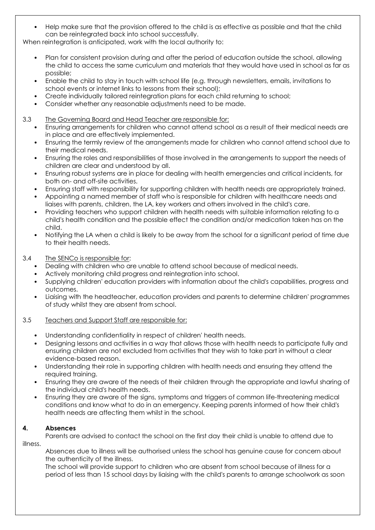• Help make sure that the provision offered to the child is as effective as possible and that the child can be reintegrated back into school successfully.

When reintegration is anticipated, work with the local authority to:

- Plan for consistent provision during and after the period of education outside the school, allowing the child to access the same curriculum and materials that they would have used in school as far as possible;
- Enable the child to stay in touch with school life (e.g. through newsletters, emails, invitations to school events or internet links to lessons from their school);
- Create individually tailored reintegration plans for each child returning to school;
- Consider whether any reasonable adjustments need to be made.

### 3.3 The Governing Board and Head Teacher are responsible for:

- Ensuring arrangements for children who cannot attend school as a result of their medical needs are in place and are effectively implemented.
- Ensuring the termly review of the arrangements made for children who cannot attend school due to their medical needs.
- Ensuring the roles and responsibilities of those involved in the arrangements to support the needs of children are clear and understood by all.
- Ensuring robust systems are in place for dealing with health emergencies and critical incidents, for both on- and off-site activities.
- Ensuring staff with responsibility for supporting children with health needs are appropriately trained.
- Appointing a named member of staff who is responsible for children with healthcare needs and liaises with parents, children, the LA, key workers and others involved in the child's care.
- Providing teachers who support children with health needs with suitable information relating to a child's health condition and the possible effect the condition and/or medication taken has on the child.
- Notifying the LA when a child is likely to be away from the school for a significant period of time due to their health needs.

## 3.4 The SENCo is responsible for:

- Dealing with children who are unable to attend school because of medical needs.
- Actively monitoring child progress and reintegration into school.
- Supplying children' education providers with information about the child's capabilities, progress and outcomes.
- Liaising with the headteacher, education providers and parents to determine children' programmes of study whilst they are absent from school.

#### 3.5 Teachers and Support Staff are responsible for:

- Understanding confidentiality in respect of children' health needs.
- Designing lessons and activities in a way that allows those with health needs to participate fully and ensuring children are not excluded from activities that they wish to take part in without a clear evidence-based reason.
- Understanding their role in supporting children with health needs and ensuring they attend the required training.
- Ensuring they are aware of the needs of their children through the appropriate and lawful sharing of the individual child's health needs.
- Ensuring they are aware of the signs, symptoms and triggers of common life-threatening medical conditions and know what to do in an emergency. Keeping parents informed of how their child's health needs are affecting them whilst in the school.

# **4. Absences**

Parents are advised to contact the school on the first day their child is unable to attend due to illness.

Absences due to illness will be authorised unless the school has genuine cause for concern about the authenticity of the illness.

The school will provide support to children who are absent from school because of illness for a period of less than 15 school days by liaising with the child's parents to arrange schoolwork as soon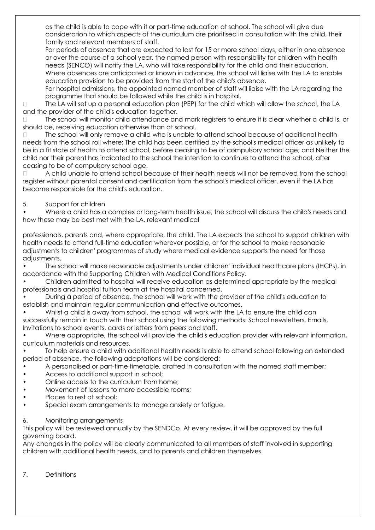as the child is able to cope with it or part-time education at school. The school will give due consideration to which aspects of the curriculum are prioritised in consultation with the child, their family and relevant members of staff.

For periods of absence that are expected to last for 15 or more school days, either in one absence or over the course of a school year, the named person with responsibility for children with health needs (SENCO) will notify the LA, who will take responsibility for the child and their education. Where absences are anticipated or known in advance, the school will liaise with the LA to enable education provision to be provided from the start of the child's absence.

For hospital admissions, the appointed named member of staff will liaise with the LA regarding the programme that should be followed while the child is in hospital.

The LA will set up a personal education plan (PEP) for the child which will allow the school, the LA  $\Box$ and the provider of the child's education together.

The school will monitor child attendance and mark registers to ensure it is clear whether a child is, or should be, receiving education otherwise than at school.

The school will only remove a child who is unable to attend school because of additional health  $\Box$ needs from the school roll where: The child has been certified by the school's medical officer as unlikely to be in a fit state of health to attend school, before ceasing to be of compulsory school age; and Neither the child nor their parent has indicated to the school the intention to continue to attend the school, after ceasing to be of compulsory school age.

A child unable to attend school because of their health needs will not be removed from the school  $\Box$ register without parental consent and certification from the school's medical officer, even if the LA has become responsible for the child's education.

## 5. Support for children

• Where a child has a complex or long-term health issue, the school will discuss the child's needs and how these may be best met with the LA, relevant medical

professionals, parents and, where appropriate, the child. The LA expects the school to support children with health needs to attend full-time education wherever possible, or for the school to make reasonable adjustments to children' programmes of study where medical evidence supports the need for those adjustments.

• The school will make reasonable adjustments under children' individual healthcare plans (IHCPs), in accordance with the Supporting Children with Medical Conditions Policy.

• Children admitted to hospital will receive education as determined appropriate by the medical professionals and hospital tuition team at the hospital concerned.

• During a period of absence, the school will work with the provider of the child's education to establish and maintain regular communication and effective outcomes.

• Whilst a child is away from school, the school will work with the LA to ensure the child can successfully remain in touch with their school using the following methods: School newsletters, Emails, Invitations to school events, cards or letters from peers and staff.

• Where appropriate, the school will provide the child's education provider with relevant information, curriculum materials and resources.

• To help ensure a child with additional health needs is able to attend school following an extended period of absence, the following adaptations will be considered:

- A personalised or part-time timetable, drafted in consultation with the named staff member;
- Access to additional support in school;
- Online access to the curriculum from home;
- Movement of lessons to more accessible rooms;
- Places to rest at school;
- Special exam arrangements to manage anxiety or fatigue.

#### 6. Monitoring arrangements

This policy will be reviewed annually by the SENDCo. At every review, it will be approved by the full governing board.

Any changes in the policy will be clearly communicated to all members of staff involved in supporting children with additional health needs, and to parents and children themselves.

#### 7. Definitions